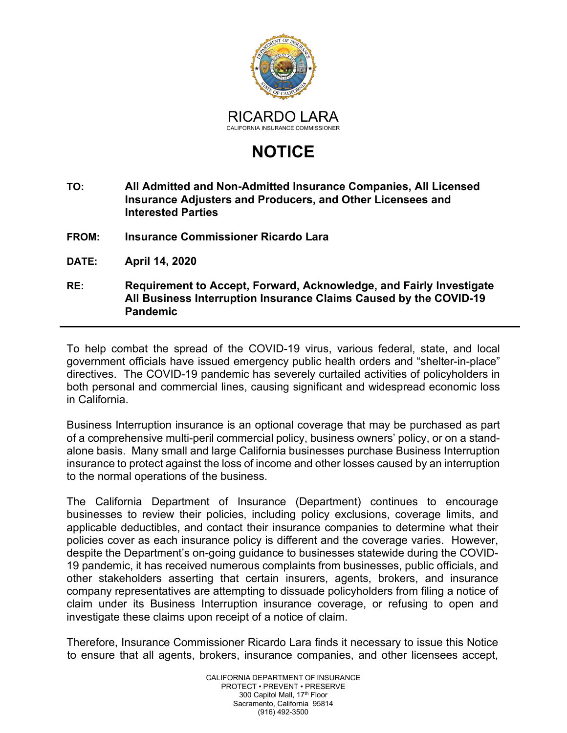

## **NOTICE**

- **TO: All Admitted and Non-Admitted Insurance Companies, All Licensed Insurance Adjusters and Producers, and Other Licensees and Interested Parties**
- **FROM: Insurance Commissioner Ricardo Lara**
- **DATE: April 14, 2020**
- **RE: Requirement to Accept, Forward, Acknowledge, and Fairly Investigate All Business Interruption Insurance Claims Caused by the COVID-19 Pandemic**

To help combat the spread of the COVID-19 virus, various federal, state, and local government officials have issued emergency public health orders and "shelter-in-place" directives. The COVID-19 pandemic has severely curtailed activities of policyholders in both personal and commercial lines, causing significant and widespread economic loss in California.

Business Interruption insurance is an optional coverage that may be purchased as part of a comprehensive multi-peril commercial policy, business owners' policy, or on a standalone basis. Many small and large California businesses purchase Business Interruption insurance to protect against the loss of income and other losses caused by an interruption to the normal operations of the business.

The California Department of Insurance (Department) continues to encourage businesses to review their policies, including policy exclusions, coverage limits, and applicable deductibles, and contact their insurance companies to determine what their policies cover as each insurance policy is different and the coverage varies. However, despite the Department's on-going guidance to businesses statewide during the COVID-19 pandemic, it has received numerous complaints from businesses, public officials, and other stakeholders asserting that certain insurers, agents, brokers, and insurance company representatives are attempting to dissuade policyholders from filing a notice of claim under its Business Interruption insurance coverage, or refusing to open and investigate these claims upon receipt of a notice of claim.

Therefore, Insurance Commissioner Ricardo Lara finds it necessary to issue this Notice to ensure that all agents, brokers, insurance companies, and other licensees accept,

> CALIFORNIA DEPARTMENT OF INSURANCE PROTECT • PREVENT • PRESERVE 300 Capitol Mall, 17<sup>th</sup> Floor Sacramento, California 95814 (916) 492-3500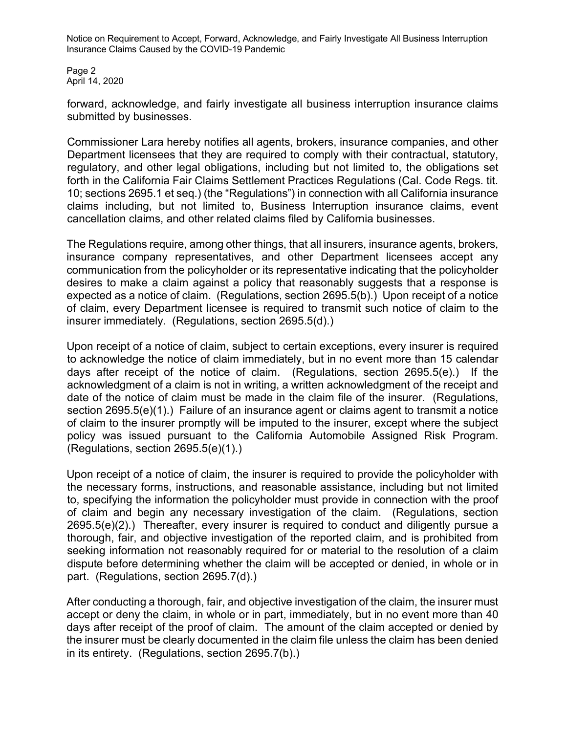Notice on Requirement to Accept, Forward, Acknowledge, and Fairly Investigate All Business Interruption Insurance Claims Caused by the COVID-19 Pandemic

Page 2 April 14, 2020

forward, acknowledge, and fairly investigate all business interruption insurance claims submitted by businesses.

Commissioner Lara hereby notifies all agents, brokers, insurance companies, and other Department licensees that they are required to comply with their contractual, statutory, regulatory, and other legal obligations, including but not limited to, the obligations set forth in the California Fair Claims Settlement Practices Regulations (Cal. Code Regs. tit. 10; sections 2695.1 et seq.) (the "Regulations") in connection with all California insurance claims including, but not limited to, Business Interruption insurance claims, event cancellation claims, and other related claims filed by California businesses.

The Regulations require, among other things, that all insurers, insurance agents, brokers, insurance company representatives, and other Department licensees accept any communication from the policyholder or its representative indicating that the policyholder desires to make a claim against a policy that reasonably suggests that a response is expected as a notice of claim. (Regulations, section 2695.5(b).) Upon receipt of a notice of claim, every Department licensee is required to transmit such notice of claim to the insurer immediately. (Regulations, section 2695.5(d).)

Upon receipt of a notice of claim, subject to certain exceptions, every insurer is required to acknowledge the notice of claim immediately, but in no event more than 15 calendar days after receipt of the notice of claim. (Regulations, section 2695.5(e).) If the acknowledgment of a claim is not in writing, a written acknowledgment of the receipt and date of the notice of claim must be made in the claim file of the insurer. (Regulations, section 2695.5(e)(1).) Failure of an insurance agent or claims agent to transmit a notice of claim to the insurer promptly will be imputed to the insurer, except where the subject policy was issued pursuant to the California Automobile Assigned Risk Program. (Regulations, section 2695.5(e)(1).)

Upon receipt of a notice of claim, the insurer is required to provide the policyholder with the necessary forms, instructions, and reasonable assistance, including but not limited to, specifying the information the policyholder must provide in connection with the proof of claim and begin any necessary investigation of the claim. (Regulations, section 2695.5(e)(2).) Thereafter, every insurer is required to conduct and diligently pursue a thorough, fair, and objective investigation of the reported claim, and is prohibited from seeking information not reasonably required for or material to the resolution of a claim dispute before determining whether the claim will be accepted or denied, in whole or in part. (Regulations, section 2695.7(d).)

After conducting a thorough, fair, and objective investigation of the claim, the insurer must accept or deny the claim, in whole or in part, immediately, but in no event more than 40 days after receipt of the proof of claim. The amount of the claim accepted or denied by the insurer must be clearly documented in the claim file unless the claim has been denied in its entirety. (Regulations, section 2695.7(b).)